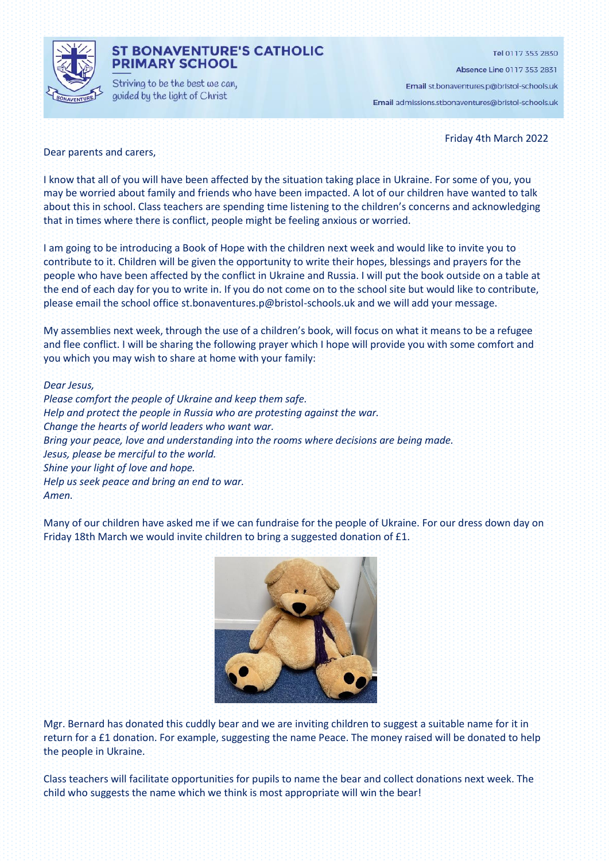

## **ST BONAVENTURE'S CATHOLIC PRIMARY SCHOOL**

Striving to be the best we can, guided by the light of Christ

Tel 0117 353 2830

Absence Line 0117 353 2831

Email st.bonaventures.p@bristol-schools.uk Email admissions.stbonaventures@bristol-schools.uk

Friday 4th March 2022

#### Dear parents and carers,

I know that all of you will have been affected by the situation taking place in Ukraine. For some of you, you may be worried about family and friends who have been impacted. A lot of our children have wanted to talk about this in school. Class teachers are spending time listening to the children's concerns and acknowledging that in times where there is conflict, people might be feeling anxious or worried.

I am going to be introducing a Book of Hope with the children next week and would like to invite you to contribute to it. Children will be given the opportunity to write their hopes, blessings and prayers for the people who have been affected by the conflict in Ukraine and Russia. I will put the book outside on a table at the end of each day for you to write in. If you do not come on to the school site but would like to contribute, please email the school office st.bonaventures.p@bristol-schools.uk and we will add your message.

My assemblies next week, through the use of a children's book, will focus on what it means to be a refugee and flee conflict. I will be sharing the following prayer which I hope will provide you with some comfort and you which you may wish to share at home with your family:

#### *Dear Jesus,*

*Please comfort the people of Ukraine and keep them safe. Help and protect the people in Russia who are protesting against the war. Change the hearts of world leaders who want war. Bring your peace, love and understanding into the rooms where decisions are being made. Jesus, please be merciful to the world. Shine your light of love and hope. Help us seek peace and bring an end to war. Amen.* 

Many of our children have asked me if we can fundraise for the people of Ukraine. For our dress down day on Friday 18th March we would invite children to bring a suggested donation of £1.



Mgr. Bernard has donated this cuddly bear and we are inviting children to suggest a suitable name for it in return for a £1 donation. For example, suggesting the name Peace. The money raised will be donated to help the people in Ukraine.

Class teachers will facilitate opportunities for pupils to name the bear and collect donations next week. The child who suggests the name which we think is most appropriate will win the bear!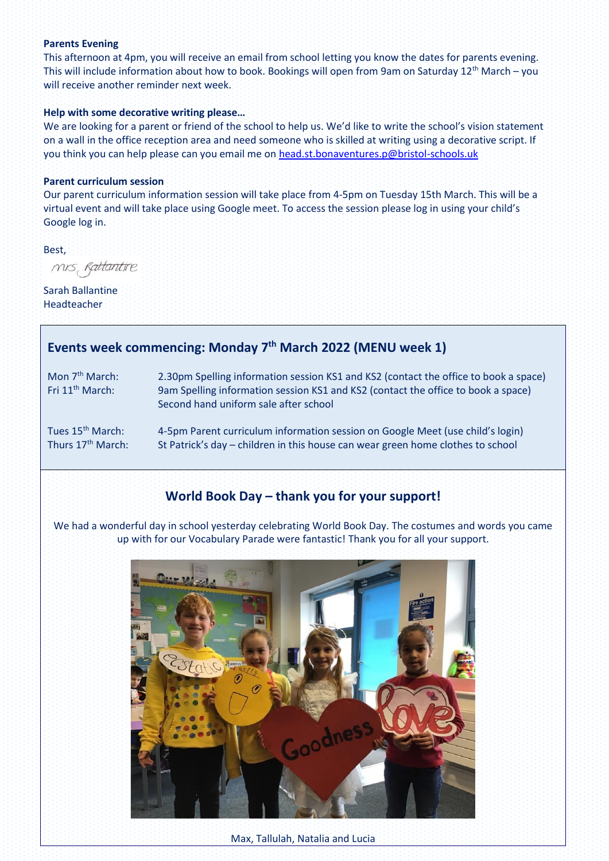### **Parents Evening**

This afternoon at 4pm, you will receive an email from school letting you know the dates for parents evening. This will include information about how to book. Bookings will open from 9am on Saturday  $12^{th}$  March – you will receive another reminder next week.

#### **Help with some decorative writing please…**

We are looking for a parent or friend of the school to help us. We'd like to write the school's vision statement on a wall in the office reception area and need someone who is skilled at writing using a decorative script. If you think you can help please can you email me o[n head.st.bonaventures.p@bristol-schools.uk](mailto:head.st.bonaventures.p@bristol-schools.uk)

#### **Parent curriculum session**

Our parent curriculum information session will take place from 4-5pm on Tuesday 15th March. This will be a virtual event and will take place using Google meet. To access the session please log in using your child's Google log in.

Best,

mis, Rattantire

Sarah Ballantine Headteacher

# **Events week commencing: Monday 7 th March 2022 (MENU week 1)**

Mon 7<sup>th</sup> March: 2.30pm Spelling information session KS1 and KS2 (contact the office to book a space) Fri 11<sup>th</sup> March: 9am Spelling information session KS1 and KS2 (contact the office to book a space) Second hand uniform sale after school

Tues 15<sup>th</sup> March: 4-5pm Parent curriculum information session on Google Meet (use child's login)<br>Thurs 17<sup>th</sup> March: St Patrick's day – children in this house can wear green home clothes to school St Patrick's day – children in this house can wear green home clothes to school

# **World Book Day – thank you for your support!**

We had a wonderful day in school yesterday celebrating World Book Day. The costumes and words you came up with for our Vocabulary Parade were fantastic! Thank you for all your support.

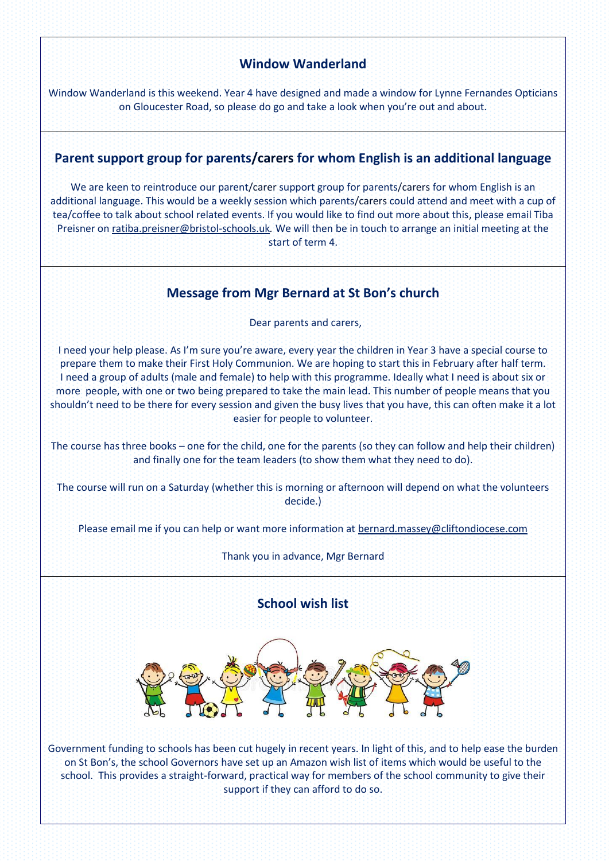## **Window Wanderland**

Window Wanderland is this weekend. Year 4 have designed and made a window for Lynne Fernandes Opticians on Gloucester Road, so please do go and take a look when you're out and about.

## **Parent support group for parents/carers for whom English is an additional language**

We are keen to reintroduce our parent/carer support group for parents/carers for whom English is an additional language. This would be a weekly session which parents/carers could attend and meet with a cup of tea/coffee to talk about school related events. If you would like to find out more about this, please email Tiba Preisner o[n ratiba.preisner@bristol-schools.uk](mailto:ratiba.preisner@bristol-schools.uk)*.* We will then be in touch to arrange an initial meeting at the start of term 4.

## **Message from Mgr Bernard at St Bon's church**

Dear parents and carers,

I need your help please. As I'm sure you're aware, every year the children in Year 3 have a special course to prepare them to make their First Holy Communion. We are hoping to start this in February after half term. I need a group of adults (male and female) to help with this programme. Ideally what I need is about six or more people, with one or two being prepared to take the main lead. This number of people means that you shouldn't need to be there for every session and given the busy lives that you have, this can often make it a lot easier for people to volunteer.

The course has three books – one for the child, one for the parents (so they can follow and help their children) and finally one for the team leaders (to show them what they need to do).

The course will run on a Saturday (whether this is morning or afternoon will depend on what the volunteers decide.)

Please email me if you can help or want more information at [bernard.massey@cliftondiocese.com](mailto:bernard.massey@cliftondiocese.com)

Thank you in advance, Mgr Bernard

## **School wish list**



Government funding to schools has been cut hugely in recent years. In light of this, and to help ease the burden on St Bon's, the school Governors have set up an Amazon wish list of items which would be useful to the school. This provides a straight-forward, practical way for members of the school community to give their support if they can afford to do so.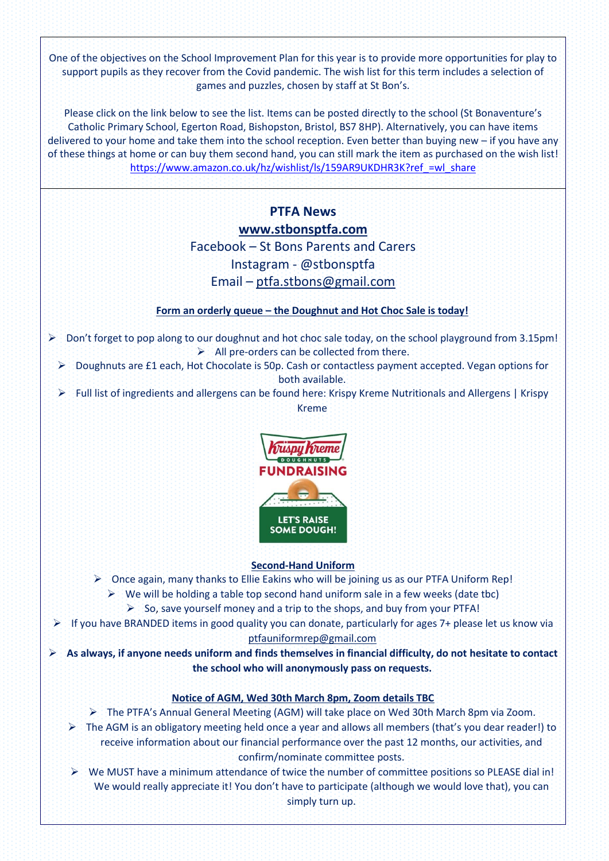One of the objectives on the School Improvement Plan for this year is to provide more opportunities for play to support pupils as they recover from the Covid pandemic. The wish list for this term includes a selection of games and puzzles, chosen by staff at St Bon's.

Please click on the link below to see the list. Items can be posted directly to the school (St Bonaventure's Catholic Primary School, Egerton Road, Bishopston, Bristol, BS7 8HP). Alternatively, you can have items delivered to your home and take them into the school reception. Even better than buying new – if you have any of these things at home or can buy them second hand, you can still mark the item as purchased on the wish list! [https://www.amazon.co.uk/hz/wishlist/ls/159AR9UKDHR3K?ref\\_=wl\\_share](https://www.amazon.co.uk/hz/wishlist/ls/159AR9UKDHR3K?ref_=wl_share)

# **PTFA News [www.stbonsptfa.com](file:///C:/Users/sophi/Documents/Personal/PTFA/www.stbonsptfa.com)** Facebook – St Bons Parents and Carers Instagram - @stbonsptfa Email – [ptfa.stbons@gmail.com](mailto:ptfa.stbons@gmail.com)

## **Form an orderly queue – the Doughnut and Hot Choc Sale is today!**

- ➢ Don't forget to pop along to our doughnut and hot choc sale today, on the school playground from 3.15pm!  $\triangleright$  All pre-orders can be collected from there.
	- ➢ Doughnuts are £1 each, Hot Chocolate is 50p. Cash or contactless payment accepted. Vegan options for both available.
	- ➢ Full list of ingredients and allergens can be found here: Krispy Kreme Nutritionals and Allergens | Krispy Kreme



#### **Second-Hand Uniform**

- $\triangleright$  Once again, many thanks to Ellie Eakins who will be joining us as our PTFA Uniform Rep!
	- $\triangleright$  We will be holding a table top second hand uniform sale in a few weeks (date tbc)
		- ➢ So, save yourself money and a trip to the shops, and buy from your PTFA!
- ➢ If you have BRANDED items in good quality you can donate, particularly for ages 7+ please let us know via

[ptfauniformrep@gmail.com](mailto:ptfauniformrep@gmail.com)

➢ **As always, if anyone needs uniform and finds themselves in financial difficulty, do not hesitate to contact the school who will anonymously pass on requests.**

## **Notice of AGM, Wed 30th March 8pm, Zoom details TBC**

- ➢ The PTFA's Annual General Meeting (AGM) will take place on Wed 30th March 8pm via Zoom.
- $\triangleright$  The AGM is an obligatory meeting held once a year and allows all members (that's you dear reader!) to receive information about our financial performance over the past 12 months, our activities, and confirm/nominate committee posts.
- ➢ We MUST have a minimum attendance of twice the number of committee positions so PLEASE dial in! We would really appreciate it! You don't have to participate (although we would love that), you can simply turn up.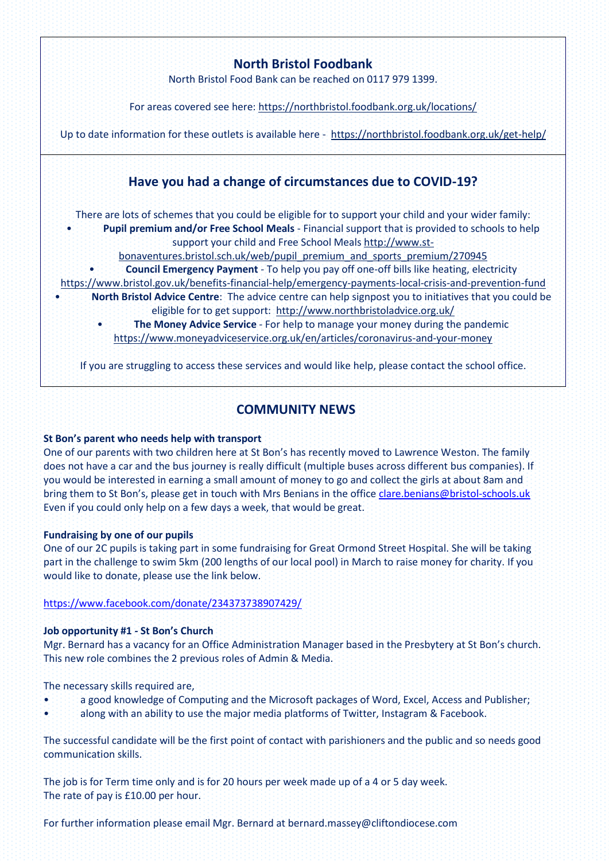# **COMMUNITY NEWS**

## **St Bon's parent who needs help with transport**

One of our parents with two children here at St Bon's has recently moved to Lawrence Weston. The family does not have a car and the bus journey is really difficult (multiple buses across different bus companies). If you would be interested in earning a small amount of money to go and collect the girls at about 8am and bring them to St Bon's, please get in touch with Mrs Benians in the office [clare.benians@bristol-schools.uk](mailto:clare.benians@bristol-schools.uk) Even if you could only help on a few days a week, that would be great.

### **Fundraising by one of our pupils**

One of our 2C pupils is taking part in some fundraising for Great Ormond Street Hospital. She will be taking part in the challenge to swim 5km (200 lengths of our local pool) in March to raise money for charity. If you would like to donate, please use the link below.

### <https://www.facebook.com/donate/234373738907429/>

### **Job opportunity #1 - St Bon's Church**

Mgr. Bernard has a vacancy for an Office Administration Manager based in the Presbytery at St Bon's church. This new role combines the 2 previous roles of Admin & Media.

The necessary skills required are,

- a good knowledge of Computing and the Microsoft packages of Word, Excel, Access and Publisher;
- along with an ability to use the major media platforms of Twitter, Instagram & Facebook.

The successful candidate will be the first point of contact with parishioners and the public and so needs good communication skills.

The job is for Term time only and is for 20 hours per week made up of a 4 or 5 day week. The rate of pay is £10.00 per hour.

For further information please email Mgr. Bernard at bernard.massey@cliftondiocese.com